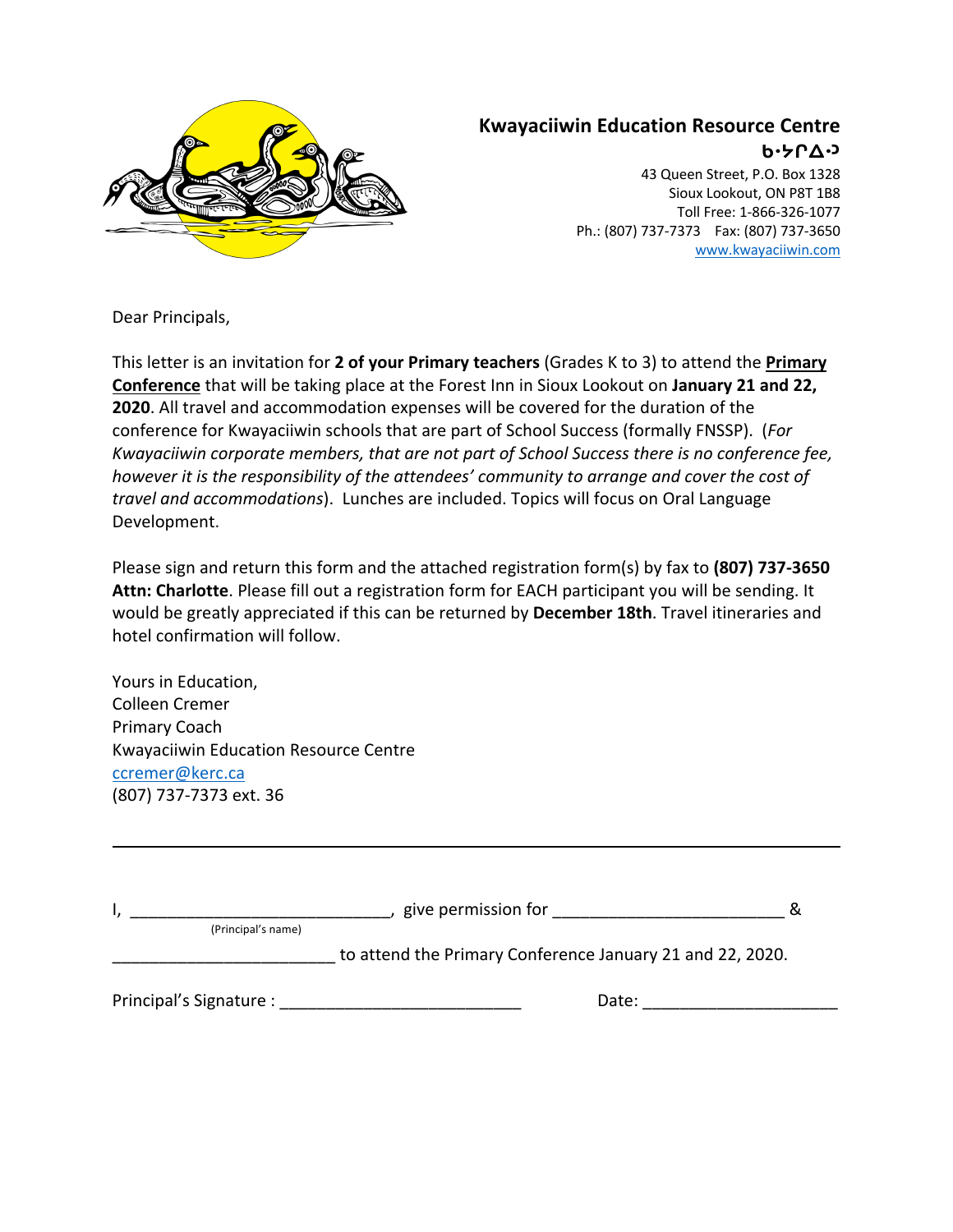

## **Kwayaciiwin Education Resource Centre ᑲᐧᔭᒋᐃᐧᐣ**

43 Queen Street, P.O. Box 1328 Sioux Lookout, ON P8T 1B8 Toll Free: 1-866-326-1077 Ph.: (807) 737-7373 Fax: (807) 737-3650 www.kwayaciiwin.com

Dear Principals,

This letter is an invitation for **2 of your Primary teachers** (Grades K to 3) to attend the **Primary Conference** that will be taking place at the Forest Inn in Sioux Lookout on **January 21 and 22, 2020**. All travel and accommodation expenses will be covered for the duration of the conference for Kwayaciiwin schools that are part of School Success (formally FNSSP). (*For Kwayaciiwin corporate members, that are not part of School Success there is no conference fee, however it is the responsibility of the attendees' community to arrange and cover the cost of travel and accommodations*). Lunches are included. Topics will focus on Oral Language Development.

Please sign and return this form and the attached registration form(s) by fax to **(807) 737-3650 Attn: Charlotte**. Please fill out a registration form for EACH participant you will be sending. It would be greatly appreciated if this can be returned by **December 18th**. Travel itineraries and hotel confirmation will follow.

Yours in Education, Colleen Cremer Primary Coach Kwayaciiwin Education Resource Centre ccremer@kerc.ca (807) 737-7373 ext. 36

|                         | give permission for                                       |  |
|-------------------------|-----------------------------------------------------------|--|
| (Principal's name)      |                                                           |  |
|                         | to attend the Primary Conference January 21 and 22, 2020. |  |
| Principal's Signature : | Date:                                                     |  |